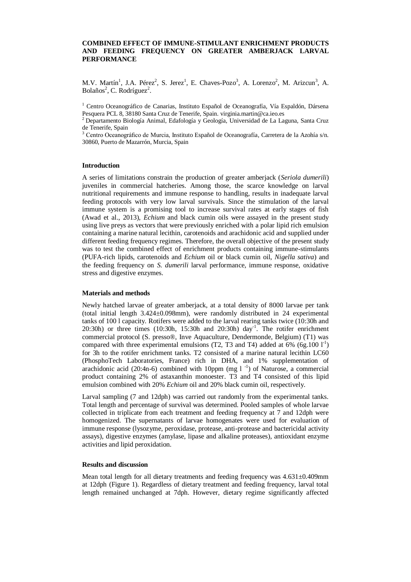## **COMBINED EFFECT OF IMMUNE-STIMULANT ENRICHMENT PRODUCTS AND FEEDING FREQUENCY ON GREATER AMBERJACK LARVAL PERFORMANCE**

M.V. Martín<sup>1</sup>, J.A. Pérez<sup>2</sup>, S. Jerez<sup>1</sup>, E. Chaves-Pozo<sup>3</sup>, A. Lorenzo<sup>2</sup>, M. Arizcun<sup>3</sup>, A. Bolaños<sup>2</sup>, C. Rodríguez<sup>2</sup>.

<sup>1</sup> Centro Oceanográfico de Canarias, Instituto Español de Oceanografía, Vía Espaldón, Dársena Pesquera PCL 8, 38180 Santa Cruz de Tenerife, Spain. virginia.martin@ca.ieo.es

<sup>2</sup> Departamento Biología Animal, Edafología y Geología, Universidad de La Laguna, Santa Cruz de Tenerife, Spain

<sup>3</sup> Centro Oceanográfico de Murcia, Instituto Español de Oceanografía, Carretera de la Azohía s/n. 30860, Puerto de Mazarrón, Murcia, Spain

## **Introduction**

A series of limitations constrain the production of greater amberjack (*Seriola dumerili*) juveniles in commercial hatcheries. Among those, the scarce knowledge on larval nutritional requirements and immune response to handling, results in inadequate larval feeding protocols with very low larval survivals. Since the stimulation of the larval immune system is a promising tool to increase survival rates at early stages of fish (Awad et al., 2013), *Echium* and black cumin oils were assayed in the present study using live preys as vectors that were previously enriched with a polar lipid rich emulsion containing a marine natural lecithin, carotenoids and arachidonic acid and supplied under different feeding frequency regimes. Therefore, the overall objective of the present study was to test the combined effect of enrichment products containing immune-stimulants (PUFA-rich lipids, carotenoids and *Echium* oil or black cumin oil, *Nigella sativa*) and the feeding frequency on *S. dumerili* larval performance, immune response, oxidative stress and digestive enzymes.

## **Materials and methods**

Newly hatched larvae of greater amberjack, at a total density of 8000 larvae per tank (total initial length 3.424±0.098mm), were randomly distributed in 24 experimental tanks of 100 l capacity. Rotifers were added to the larval rearing tanks twice (10:30h and 20:30h) or three times (10:30h, 15:30h and 20:30h) day-1 . The rotifer enrichment commercial protocol (S. presso®, Inve Aquaculture, Dendermonde, Belgium) (T1) was compared with three experimental emulsions (T2, T3 and T4) added at  $6\%$  (6g.100  $1^{-1}$ ) for 3h to the rotifer enrichment tanks. T2 consisted of a marine natural lecithin LC60 (PhosphoTech Laboratories, France) rich in DHA, and 1% supplementation of arachidonic acid (20:4n-6) combined with 10ppm (mg  $1^{-1}$ ) of Naturose, a commercial product containing 2% of astaxanthin monoester. T3 and T4 consisted of this lipid emulsion combined with 20% *Echium* oil and 20% black cumin oil, respectively.

Larval sampling (7 and 12dph) was carried out randomly from the experimental tanks. Total length and percentage of survival was determined. Pooled samples of whole larvae collected in triplicate from each treatment and feeding frequency at 7 and 12dph were homogenized. The supernatants of larvae homogenates were used for evaluation of immune response (lysozyme, peroxidase, protease, anti-protease and bactericidal activity assays), digestive enzymes (amylase, lipase and alkaline proteases), antioxidant enzyme activities and lipid peroxidation.

#### **Results and discussion**

Mean total length for all dietary treatments and feeding frequency was 4.631±0.409mm at 12dph (Figure 1). Regardless of dietary treatment and feeding frequency, larval total length remained unchanged at 7dph. However, dietary regime significantly affected